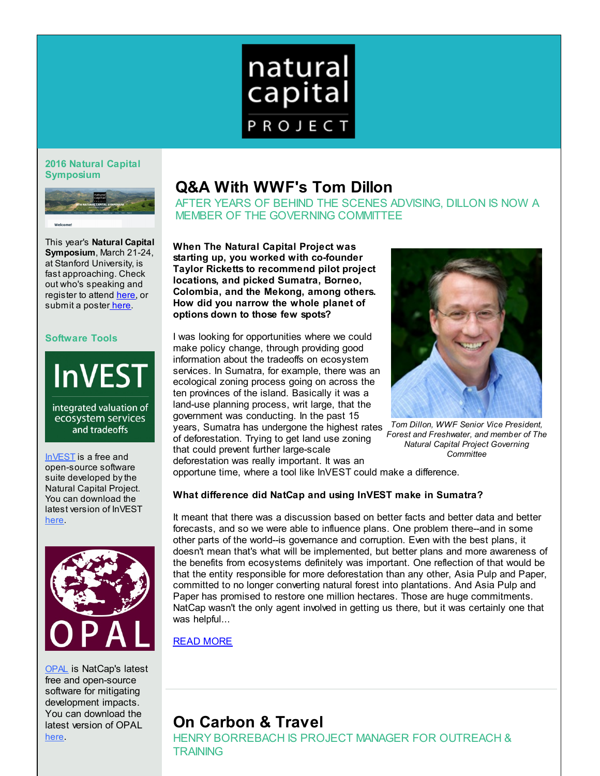

### **2016 Natural Capital Symposium**



This year's **Natural Capital Symposium**, March 21-24, at Stanford University, is fast approaching. Check out who's speaking and register to attend [here](http://r20.rs6.net/tn.jsp?f=001kbfOYOi2g1itZvWXFtsetWE9QTgN52JgsDtek9z-Snhm2SgG9r7XgNWMPJrI7iwPCqkt_ajuD5ea04YGtqdb_FLyKC4rZcUIFvECkiP5cFmPySngXe3nfeAvr5fjo5a0PYMmBsnoo-URgmL1UqvD0igonFj_u0NggmVOgT00wA0TDF_wTB9kpn6z1oESGOiIDUnVJYEnWCl6flt8zFFSPbByLy_OCxCGzEytzyM8kUXK4aaNUSQ81bhLT4iBqGexSSo5EqOmJ9LdhHCt9VYx6XJnrXHxRwyZUq0NV5H8GozG_iZ9Els5u7JcPHRpM5Rw9WEo8KJZcnD7-eXvVL68gA==&c=&ch=), or submit a poste[r here](http://r20.rs6.net/tn.jsp?f=001kbfOYOi2g1itZvWXFtsetWE9QTgN52JgsDtek9z-Snhm2SgG9r7XgNWMPJrI7iwPz2mgly9xw32P70HN4xZb-6Lsgo9bt6ZS1yaDgM2S9E9jskLoej3VKyNxl0NClS282rwyWt4RBeTG-Q83YspU0zbYZr_YN5zBFfj4VzcpUtz5kypaOJT8oRv9I9zladtizpE3jNnpYZIYiys70OjiOTM2IOZE1caCgQg-OrBGnYF9G_PiqDW3DaPphftr5JPjfUUcTt0MfPgnocoLmhZgOefPVDRq6kGqwk2m0pxOhsiq-vhgzaixkeDac292XKxiACLuD-HIv12_1S7868tgQw==&c=&ch=).

### **Software Tools**



integrated valuation of ecosystem services and tradeoffs

[InVEST](http://r20.rs6.net/tn.jsp?f=001kbfOYOi2g1itZvWXFtsetWE9QTgN52JgsDtek9z-Snhm2SgG9r7XgEvostY3tXCpuZDMrJ8l9xHaDjYm07pnDdxbUTi7lGaaYvFju2ZArKyoo75GD-sxjIJdo6cPQ4kdH0c24Mn6FoGY6NlopFMBorjctC4j_hBfOvRlCedkFbr02-BLBS-HzTjah62PmdW87X9n_jLMHFJywukngXpqUK6zqvfevm8Ncwfv1hqViBtAB8cSIBIl2ccNgtKLvFtWFZnjeUlZz2dd66ppgkKFI8cSzZz06rBLJTZDw7ak2d_UAWFGhdYpGmWAzqWvQUJJXMNpTDhyW7eAdd4DTxPVgg==&c=&ch=) is a free and open-source software suite developed by the Natural Capital Project. You can download the latest version of InVEST [here](http://r20.rs6.net/tn.jsp?f=001kbfOYOi2g1itZvWXFtsetWE9QTgN52JgsDtek9z-Snhm2SgG9r7XgEvostY3tXCpuZDMrJ8l9xHaDjYm07pnDdxbUTi7lGaaYvFju2ZArKyoo75GD-sxjIJdo6cPQ4kdH0c24Mn6FoGY6NlopFMBorjctC4j_hBfOvRlCedkFbr02-BLBS-HzTjah62PmdW87X9n_jLMHFJywukngXpqUK6zqvfevm8Ncwfv1hqViBtAB8cSIBIl2ccNgtKLvFtWFZnjeUlZz2dd66ppgkKFI8cSzZz06rBLJTZDw7ak2d_UAWFGhdYpGmWAzqWvQUJJXMNpTDhyW7eAdd4DTxPVgg==&c=&ch=).



[OPAL](http://r20.rs6.net/tn.jsp?f=001kbfOYOi2g1itZvWXFtsetWE9QTgN52JgsDtek9z-Snhm2SgG9r7XgEvostY3tXCpH7s2QWJM5Uim2FcLkqadktLoa2LNgRuJAz0F3oksi91MrSmPHKB5OzU8zarsH_2nrAdQBo8bZtyYAkyZGGX64_mNWFDkDz860h34EM0dQuaMRgC7qZWPDFKgw4s5He8pss8cu-iAr5esVP4bXFz5DwFL2sKSSEaH1yuQ4lz2q-kUyq510XSJnguHEZauwta1MQx66HzdbgijT0TDlIYfkS5GLv4xK_5Z58vqotzJ0SStCHD9uxzw7bvdAyd77l3HB0XH4GJTylTIGUKwJ2e_CQ30u8oQJdvr&c=&ch=) is NatCap's latest free and open-source software for mitigating development impacts. You can download the latest version of OPAL [here](http://r20.rs6.net/tn.jsp?f=001kbfOYOi2g1itZvWXFtsetWE9QTgN52JgsDtek9z-Snhm2SgG9r7XgEvostY3tXCpH7s2QWJM5Uim2FcLkqadktLoa2LNgRuJAz0F3oksi91MrSmPHKB5OzU8zarsH_2nrAdQBo8bZtyYAkyZGGX64_mNWFDkDz860h34EM0dQuaMRgC7qZWPDFKgw4s5He8pss8cu-iAr5esVP4bXFz5DwFL2sKSSEaH1yuQ4lz2q-kUyq510XSJnguHEZauwta1MQx66HzdbgijT0TDlIYfkS5GLv4xK_5Z58vqotzJ0SStCHD9uxzw7bvdAyd77l3HB0XH4GJTylTIGUKwJ2e_CQ30u8oQJdvr&c=&ch=).

# **Q&A With WWF's Tom Dillon**

AFTER YEARS OF BEHIND THE SCENES ADVISING, DILLON IS NOW A MEMBER OF THE GOVERNING COMMITTEE

**When The Natural Capital Project was starting up, you worked with co-founder Taylor Ricketts to recommend pilot project locations, and picked Sumatra, Borneo, Colombia, and the Mekong, among others. How did you narrow the whole planet of options down to those few spots?**

I was looking for opportunities where we could make policy change, through providing good information about the tradeoffs on ecosystem services. In Sumatra, for example, there was an ecological zoning process going on across the ten provinces of the island. Basically it was a land-use planning process, writ large, that the government was conducting. In the past 15 years, Sumatra has undergone the highest rates of deforestation. Trying to get land use zoning that could prevent further large-scale deforestation was really important. It was an



*Tom Dillon, WWF Senior Vice President, Forest and Freshwater, and member of The Natural Capital Project Governing Committee*

opportune time, where a tool like InVEST could make a difference.

## **What difference did NatCap and using InVEST make in Sumatra?**

It meant that there was a discussion based on better facts and better data and better forecasts, and so we were able to influence plans. One problem there--and in some other parts of the world--is governance and corruption. Even with the best plans, it doesn't mean that's what will be implemented, but better plans and more awareness of the benefits from ecosystems definitely was important. One reflection of that would be that the entity responsible for more deforestation than any other, Asia Pulp and Paper, committed to no longer converting natural forest into plantations. And Asia Pulp and Paper has promised to restore one million hectares. Those are huge commitments. NatCap wasn't the only agent involved in getting us there, but it was certainly one that was helpful...

[READ MORE](https://naturalcapitalproject.stanford.edu/news/qa-wwf-s-tom-dillon)

# **On Carbon & Travel**

HENRY BORREBACH IS PROJECT MANAGER FOR OUTREACH & **TRAINING**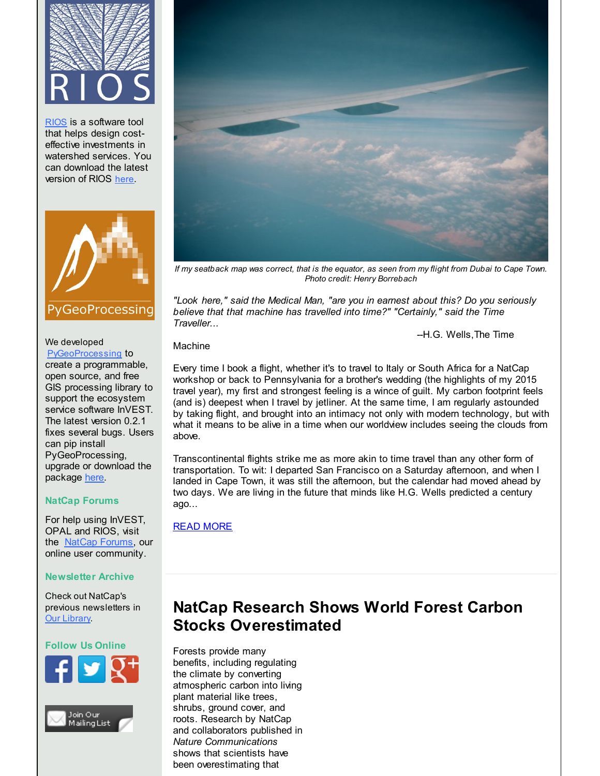

[RIOS](http://r20.rs6.net/tn.jsp?f=001kbfOYOi2g1itZvWXFtsetWE9QTgN52JgsDtek9z-Snhm2SgG9r7XgEvostY3tXCpSeFoXWdwFWlSVYVrwc_e3Ml__cpvuzWDuYGSXhm_3hDYsyMOKKBQ2Q_ATabnVLcq5c5K4J9U400D9LE0dZIicY3XS64R7i_BP9V7crmh63fOp_yriT-8qa2GUWtvLCwOGDkiBMCmXf3ZuuHoOO0JmRIqGjuyrTQ2h7n-DVFl6NywenyrNktv5_0rsyK6oVy9CGhZfiRwTA2hWVR7jM0T4_21Kby6_xA9LWiPWJAf5u5uNh12GRnIk6OZg5OkyKCF2ONHoZuUU9UMDRcciTifDAhSFI5omMOA&c=&ch=) is a software tool that helps design costeffective investments in watershed services. You can download the latest version of RIOS [here](http://r20.rs6.net/tn.jsp?f=001kbfOYOi2g1itZvWXFtsetWE9QTgN52JgsDtek9z-Snhm2SgG9r7XgEvostY3tXCpSeFoXWdwFWlSVYVrwc_e3Ml__cpvuzWDuYGSXhm_3hDYsyMOKKBQ2Q_ATabnVLcq5c5K4J9U400D9LE0dZIicY3XS64R7i_BP9V7crmh63fOp_yriT-8qa2GUWtvLCwOGDkiBMCmXf3ZuuHoOO0JmRIqGjuyrTQ2h7n-DVFl6NywenyrNktv5_0rsyK6oVy9CGhZfiRwTA2hWVR7jM0T4_21Kby6_xA9LWiPWJAf5u5uNh12GRnIk6OZg5OkyKCF2ONHoZuUU9UMDRcciTifDAhSFI5omMOA&c=&ch=).



## We developed

[PyGeoProcessing](http://r20.rs6.net/tn.jsp?f=001kbfOYOi2g1itZvWXFtsetWE9QTgN52JgsDtek9z-Snhm2SgG9r7XgC0orCTTlpi1OMbF3J0lLHHuvsKnYdR3cocRpMtr5vpkkKlAusXZvaajftUKXvpVPVcYuta1uVV86oLbBG_r1NsgbEt1zfUWzCxG2e7-13k3JtTGXmz592VK4veXK_svLXcFw0eeWcB2Z147UqUHRybBujAlZT60O-U94JjTjKHJt9iI3e7QKBXp6un6IR2FxEyb1Ffci1nt4Xx2sI1ciSpfTVaKcRIUJLqB67Bw1QpARR7ojY-NnABuAQovCd-LbdjeAwB1vGch3vSgfF6aogpVeqEa6O07Hw==&c=&ch=) to create a programmable, open source, and free GIS processing library to support the ecosystem service software InVEST. The latest version 0.2.1 fixes several bugs. Users can pip install PyGeoProcessing, upgrade or download the package [here](http://r20.rs6.net/tn.jsp?f=001kbfOYOi2g1itZvWXFtsetWE9QTgN52JgsDtek9z-Snhm2SgG9r7XgC0orCTTlpi1OMbF3J0lLHHuvsKnYdR3cocRpMtr5vpkkKlAusXZvaajftUKXvpVPVcYuta1uVV86oLbBG_r1NsgbEt1zfUWzCxG2e7-13k3JtTGXmz592VK4veXK_svLXcFw0eeWcB2Z147UqUHRybBujAlZT60O-U94JjTjKHJt9iI3e7QKBXp6un6IR2FxEyb1Ffci1nt4Xx2sI1ciSpfTVaKcRIUJLqB67Bw1QpARR7ojY-NnABuAQovCd-LbdjeAwB1vGch3vSgfF6aogpVeqEa6O07Hw==&c=&ch=).

## **NatCap Forums**

For help using InVEST, OPAL and RIOS, visit the [NatCap Forums](http://r20.rs6.net/tn.jsp?f=001kbfOYOi2g1itZvWXFtsetWE9QTgN52JgsDtek9z-Snhm2SgG9r7XgC0orCTTlpi1MbPHmortt0ARW6fKD1S_00OptBPZY9uZjiUkB3lkJ4K6MzWt5ek_FdVzW7kdg0Vsvx3eHmjInaZYU78mUPcq_13uRYNkRy_J8zu9A-nwgg8buWx30c46qpmDL_eFRsXypacBx_7lC_19QymYMDz_fz8gaKwcByzKVK7npt3ebxfInVvVMvROCriIpmBVUhhVbVsVKjlx5FbQ5ZHj2JS0WIcyGG2afdDE1EEutZvRD_yw1FhzBPDr5BLnXL1zHfani2V3VNLIQjs=&c=&ch=), our online user community.

## **Newsletter Archive**

Check out NatCap's previous newsletters in [Our Library](http://r20.rs6.net/tn.jsp?f=001kbfOYOi2g1itZvWXFtsetWE9QTgN52JgsDtek9z-Snhm2SgG9r7XgEvostY3tXCprOg3d-qLv1GPyynYqwwNz5OU3VCvLVRQJAQfYkR5PeQr9miU5kYvwHQpIByCzx5uD1hbOWneBq9_wVz6XA2S7VrcjP1QaH1V3q62cWmRdksgZJaChI3n4hmtsZ3vNSPgOTr4FoLXwjFtq6UmDKSAfDE0bEnhDt14w7q8lb7gnmnRdA2Qy2SV4_bpHdPcCvmMzv8heJ9RGDOGk5Fc-xh-PaB5bVNksvQux4ysXsG3RWFzcJ4yIk1gIIRhcAkx789lbXuSJQArGj52ATZKH8vOig==&c=&ch=).

## **Follow Us Online**







*If my seatback map was correct, that is the equator, as seen from my flight from Dubai to Cape Town. Photo credit: Henry Borrebach*

*"Look here," said the Medical Man, "are you in earnest about this? Do you seriously believe that that machine has travelled into time?" "Certainly," said the Time Traveller...*

--H.G. Wells,The Time

Machine

Every time I book a flight, whether it's to travel to Italy or South Africa for a NatCap workshop or back to Pennsylvania for a brother's wedding (the highlights of my 2015 travel year), my first and strongest feeling is a wince of guilt. My carbon footprint feels (and is) deepest when I travel by jetliner. At the same time, I am regularly astounded by taking flight, and brought into an intimacy not only with modern technology, but with what it means to be alive in a time when our worldview includes seeing the clouds from above.

Transcontinental flights strike me as more akin to time travel than any other form of transportation. To wit: I departed San Francisco on a Saturday afternoon, and when I landed in Cape Town, it was still the afternoon, but the calendar had moved ahead by two days. We are living in the future that minds like H.G. Wells predicted a century ago...

## [READ MORE](https://naturalcapitalproject.stanford.edu/news/carbon-travel)

# **NatCap Research Shows World Forest Carbon Stocks Overestimated**

Forests provide many benefits, including regulating the climate by converting atmospheric carbon into living plant material like trees, shrubs, ground cover, and roots. Research by NatCap and collaborators published in *Nature Communications* shows that scientists have been overestimating that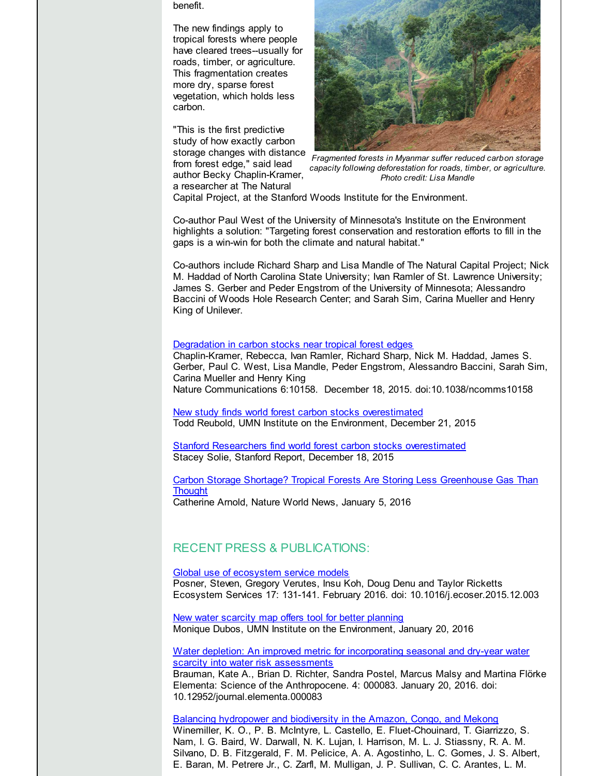benefit.

The new findings apply to tropical forests where people have cleared trees--usually for roads, timber, or agriculture. This fragmentation creates more dry, sparse forest vegetation, which holds less carbon.

"This is the first predictive study of how exactly carbon storage changes with distance from forest edge," said lead author Becky Chaplin-Kramer, a researcher at The Natural



*Fragmented forests in Myanmar suffer reduced carbon storage capacity following deforestation for roads, timber, or agriculture. Photo credit: Lisa Mandle*

Capital Project, at the Stanford Woods Institute for the Environment.

Co-author Paul West of the University of Minnesota's Institute on the Environment highlights a solution: "Targeting forest conservation and restoration efforts to fill in the gaps is a win-win for both the climate and natural habitat."

Co-authors include Richard Sharp and Lisa Mandle of The Natural Capital Project; Nick M. Haddad of North Carolina State University; Ivan Ramler of St. Lawrence University; James S. Gerber and Peder Engstrom of the University of Minnesota; Alessandro Baccini of Woods Hole Research Center; and Sarah Sim, Carina Mueller and Henry King of Unilever.

#### [Degradation](http://r20.rs6.net/tn.jsp?f=001kbfOYOi2g1itZvWXFtsetWE9QTgN52JgsDtek9z-Snhm2SgG9r7XgAw6KJzsMxvBGKmw94dfYEtGDsLfZE3W1Cx3eu3VAUX3H5J1-5kiOgK3sn8pKyvpINdnQxbsuImrX9OqFbn8U0IkHxBDz8SEJJh1yGc5os8tSBvN5lzEA_-oemPgZBasHZ0zCfnyoinByZQUIumfi9K70pmAbpIkRAcmDWjWkn865437z3ygo39CSuX_Mlbo8VvtUiuGOok32MRWMHNz1rIGl4fWHwryqpHR2uXv-smzmDWZEgarFxJIppyUn2YyncNH2h3kP5jgqq_QLkLRXPs=&c=&ch=) in carbon stocks near tropical forest edges

Chaplin-Kramer, Rebecca, Ivan Ramler, Richard Sharp, Nick M. Haddad, James S. Gerber, Paul C. West, Lisa Mandle, Peder Engstrom, Alessandro Baccini, Sarah Sim, Carina Mueller and Henry King Nature Communications 6:10158. December 18, 2015. doi:10.1038/ncomms10158

New study finds world forest carbon stocks [overestimated](http://r20.rs6.net/tn.jsp?f=001kbfOYOi2g1itZvWXFtsetWE9QTgN52JgsDtek9z-Snhm2SgG9r7XgAw6KJzsMxvBmmcSwT8A3qsB21rbmtDxlsgYa9ukjbDXD65kXja7PrS_1N-9X7vc3rzJT6OxSHaxUU94tUKxAn-GGEJyRYihzZJgdwB_4cnuXZ08ZBzRcIuA0beq29ygb24aKcfAmszom9CUoloGNJi7LCq_ORWhgDJ5wY0wK7go1yH2hSbFq1mbu25nI1Hw4ujtYIziHk8DAMhYKXaLdDB8WFNWJGs8luQoYbKEz6QxPwxQmjgG1x7RIYPlFbUp3M_mJVS80O9ip_sZnnsD_9i7PhexdgEO5HR3c_1RRQIPadtlI9aZ-EOP42GJiH-n__mr-a4HqVZ77iWCMifwAYX-jAydkFrS7EPWsGU4X0bUzuKhv_939S72yTofbaS37Q==&c=&ch=) Todd Reubold, UMN Institute on the Environment, December 21, 2015

Stanford Researchers find world forest carbon stocks [overestimated](http://r20.rs6.net/tn.jsp?f=001kbfOYOi2g1itZvWXFtsetWE9QTgN52JgsDtek9z-Snhm2SgG9r7XgAw6KJzsMxvBi3C0mR1tiKfaF8V6IQNPpeGD85khva01UlErNSuZqXxGE87zqv4B_RtgHHG6OHEH2qVAghhB8gzFcBzy6MiXxyIclbhPHlNS1g_YEYx853lrL8KBbvLQ7yeWXVQT3V-ociZz-gp4mF1H-kthlE5cGWmFubbTh5G1qTpklCIIOKURoCaAWN4v8zMt1DYpS7coP4U6w1hg0xGMwoYi6CL2ivMSumbL_bpz7LvSQfZVP0J8SIqsMY8fXWJUYwwnv_HfkQ8wa_hc0v_sb39ZXph2fJXyoG07sDt2EVkLRur7eBbCK4Yze6Ls_5qR8cS-ia8W&c=&ch=) Stacey Solie, Stanford Report, December 18, 2015

### Carbon Storage Shortage? Tropical Forests Are Storing Less [Greenhouse](http://r20.rs6.net/tn.jsp?f=001kbfOYOi2g1itZvWXFtsetWE9QTgN52JgsDtek9z-Snhm2SgG9r7XgAw6KJzsMxvB6kiqRkaav2uFZ3CkgABT1vcLMTi2-yaOCatpWs6aacsyT5zV0xlJyhU3oj1DDZGI1J1hCQnUd_wvCREVwYwvpEHlrjSIWvxw-wjTtu7Pz3frGeq8KTqbppnfFdvmJhPtwPYOTMDHSLkdM3TGCkINFsiPFjO4iFygJg0ZrDCW3lrczYDR6VC88rZdbK34gA5GNroL1ovUrtyrF0zNbKTYsz7LKHBZViQKc2RIIEhvKq1-4iGw5VVH3pwHKRhrkoe762AECkOkruqAi0EQF2fcXr-pKaQEAMxLgcRzhKlukrz8QgbUKjHDd7ZxG7Y1AqGpHrXYu04y39HjwZmrqBef1R9zHy_ErScJ-36g9JMI5Ojw9oYxkNBA1Eeob0L0_d0Sp192loU987FomIFd680OEA==&c=&ch=) Gas Than **Thought**

Catherine Arnold, Nature World News, January 5, 2016

### RECENT PRESS & PUBLICATIONS:

Global use of [ecosystem](http://r20.rs6.net/tn.jsp?f=001kbfOYOi2g1itZvWXFtsetWE9QTgN52JgsDtek9z-Snhm2SgG9r7XgAw6KJzsMxvBUFjn5asGVzy0VTO6ZPKFn0Ev_-68mEDLex5nyIxs1Q_xfXnH6M6JrvbVe3Fd7aKUPkeSkjDT_WG6bH_lodVM6-uvo6A9n8vkydS6icqlu_ToQbAKwVj_V53nA1z-9a_K12ahwzWd-QQmfeE07lMvpwFcynEfoLULB6Tg52gPRXhsgP5hgqcTZJx3YLP_YVDdx8ycTPZhAsPP9nv3TxsNDIX_Qh68pOnqfN-1Fv6luARmfHL-nkIxsumFj7KZxOfd6sJ-XerpFL8QJvz1w65S_g==&c=&ch=) service models

Posner, Steven, Gregory Verutes, Insu Koh, Doug Denu and Taylor Ricketts Ecosystem Services 17: 131-141. February 2016. doi: 10.1016/j.ecoser.2015.12.003

New water scarcity map offers tool for better [planning](http://r20.rs6.net/tn.jsp?f=001kbfOYOi2g1itZvWXFtsetWE9QTgN52JgsDtek9z-Snhm2SgG9r7XgNWMPJrI7iwP1FMVWHclT_hGr1GqKrUckRTj5DYun7yeqq100T2zJddAgDRmaVv9ZyFoESPWo5yTw5GA6BIMvEh2LgdB1fF49_HRVDAJCztZi54i_R04NYT9HsAHyyf8xEUIUlY-hDxrsvfNqzWKzZvOLDFZg_JxllbDE0M_EIastAcdbwcCTAJwXWMxh5crjjZjnFHbYPOX9p4reMxKPE3brwU2WgW-D6qYHwu0pvZgEGZbPbRdiQk9iKqebYwQJWC07MMfd7isQiHUJPKW1-g4CBvFVkql5bDgiXtlr_6j7_G2CbyhPMwbiLpQhxrrscGSplrvHEhXL7L0GgwiTNk=&c=&ch=) Monique Dubos, UMN Institute on the Environment, January 20, 2016

Water depletion: An improved metric for incorporating seasonal and dry-year water scarcity into water risk [assessments](http://r20.rs6.net/tn.jsp?f=001kbfOYOi2g1itZvWXFtsetWE9QTgN52JgsDtek9z-Snhm2SgG9r7XgNWMPJrI7iwPPfc6ahPha7z5XQp2wGpQJMjACE0ag2xhZLsp8VmWtVYey8eIoKYbtupqGkZ5Ap9wMLGxeuVapNUAabyZ75P2lk4xAi_Xjh4OvPEZGxZlTQJgE87xp1BZb5UcwxySZcq1mNRnI-htWdv82s5JB7_WiH1KMfZw_0tzirZtEaXNNw3WZa-aXtKC8MxV_Jh-uArKtkx9D9GO4nCfEJJ5dd-24k2hX-mQkrEqm-vQWXG7-1TAri4DwTIbMsLBQQWbBDTvSXg88Zvt6aw=&c=&ch=) Brauman, Kate A., Brian D. Richter, Sandra Postel, Marcus Malsy and Martina Flörke Elementa: Science of the Anthropocene. 4: 000083. January 20, 2016. doi: 10.12952/journal.elementa.000083

Balancing [hydropower](http://r20.rs6.net/tn.jsp?f=001kbfOYOi2g1itZvWXFtsetWE9QTgN52JgsDtek9z-Snhm2SgG9r7XgAw6KJzsMxvBLu5ptoOOe7zcLT1z46__HHQyGgwywHDk2xPe2vQNbaG2vJyy0dnWfwMSwwIZElGVtZvh5svPzd3Nw_TqCVf4bY0FFIiVpeNXAXIna6-zzrc-UYWaQ1MgLLZsv68j4U0QohtFnNdIrHREd4SKn9P5TRfgzNvBW9vqzoHjJtrDqrjzNhnNuvW3GSDIYD2mZOy_YWFvy1MVEi3CLwSfGw33_PNZsNCAsdeZhYwbkZVKAFEe_TfND17HoYJOo75L_yXYMkSOLAPeHbg=&c=&ch=) and biodiversity in the Amazon, Congo, and Mekong Winemiller, K. O., P. B. McIntyre, L. Castello, E. Fluet-Chouinard, T. Giarrizzo, S. Nam, I. G. Baird, W. Darwall, N. K. Lujan, I. Harrison, M. L. J. Stiassny, R. A. M. Silvano, D. B. Fitzgerald, F. M. Pelicice, A. A. Agostinho, L. C. Gomes, J. S. Albert, E. Baran, M. Petrere Jr., C. Zarfl, M. Mulligan, J. P. Sullivan, C. C. Arantes, L. M.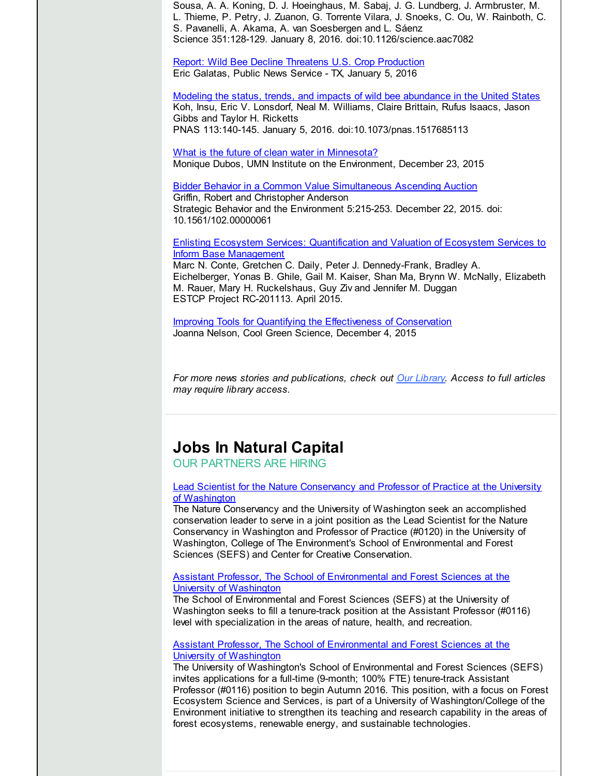Sousa, A. A. Koning, D. J. Hoeinghaus, M. Sabaj, J. G. Lundberg, J. Armbruster, M. L. Thieme, P. Petry, J. Zuanon, G. Torrente Vilara, J. Snoeks, C. Ou, W. Rainboth, C. S. Pavanelli, A. Akama, A. van Soesbergen and L. Sáenz Science 351:128-129. January 8, 2016. doi:10.1126/science.aac7082

Report: Wild Bee Decline Threatens U.S. Crop [Production](http://r20.rs6.net/tn.jsp?f=001kbfOYOi2g1itZvWXFtsetWE9QTgN52JgsDtek9z-Snhm2SgG9r7XgAw6KJzsMxvBrYY4oHEnFy-g188GQzQLea5FmJeeUnxDzZ3N5m9fl6TDRtViAJe79khdLEk2x8scqMo5O3Y7SoRDcRg_9lceeArseOFvG7wiXut3nbNXPPDPbKM_q99FUqBx__sAgiP36HqkxsL9-MaIH0i7ZQiUYyl9Pk-6RiE6iaIjwwobCFELSGRuTVEP2gn0g9a0NfxgI_NcYDBUTiDc8swMFBtc6bGezn32o1AQLJfelHV7XjYS7K5t-cbTvuyNdZOM0pU_VwzDXfHqlw6rpKOSEDTlIv7KUxuTAuPI1Qk5M6arQydEirc2Asz3DWgGJa90--tYxfIdCRLHTiXO0EJW_nyJFdLwVXC9l8BKYrbMacSEmTNKU69WN8j0KQ==&c=&ch=) Eric Galatas, Public News Service - TX, January 5, 2016

Modeling the status, trends, and impacts of wild bee [abundance](http://r20.rs6.net/tn.jsp?f=001kbfOYOi2g1itZvWXFtsetWE9QTgN52JgsDtek9z-Snhm2SgG9r7XgAw6KJzsMxvBSm2mhV1yHLIGnm-ICv6c9dH0EIBb-YFODJwbhtldEpMFBZXGACt8T0KDox0nPhr2YT_gBBsI4BlRD6TT4HiXVgwieR87SmRj-53IDh6I51-v9hRrRpCd14l4EM-TCeUlkYMoyZfD3HzqK0T_4uO66SyyJuFwh6MNyl-c9it3H_gicXE0E9W0H3uwZ47y4FmnXqgSmI6Xm3gvgz-g3Q1KKB0X2pGENVtGxt99chJOC-JRV2O5zYNPkzdKKXdo5roqXI59aHAroZo=&c=&ch=) in the United States Koh, Insu, Eric V. Lonsdorf, Neal M. Williams, Claire Brittain, Rufus Isaacs, Jason Gibbs and Taylor H. Ricketts PNAS 113:140-145. January 5, 2016. doi:10.1073/pnas.1517685113

What is the future of clean water in [Minnesota?](http://r20.rs6.net/tn.jsp?f=001kbfOYOi2g1itZvWXFtsetWE9QTgN52JgsDtek9z-Snhm2SgG9r7XgNWMPJrI7iwP_NVVcoTaC1h8xvmWwCBxB8PY2slI2v1S3IBZcaLDkernjyD3ASvElm20l5VVu7dgKggH2AokiuBnhppIIWgidobFI9WTo6Ss_vfUnjTKWKgN6vyCohPwHSuTOCY_19SYGqkr8UXn--yKXMzG1LT9PyOc_9gdLaJ6cJsWmsRR81eRSUriSNkSS3klzC5O8T6xS8zcSe0dY43k6Ih1d04rkf-EeXs3Ajf2DXP9OQzXaA3wq8SfpR9wCwgbVY5Z2IWsU-FZw6w2Itctt2Q29mCgrwfUR_vlMxeCzRkvCHTx_BZw1HiLinJRW0_6POQzLrWP&c=&ch=) Monique Dubos, UMN Institute on the Environment, December 23, 2015

Bidder Behavior in a Common Value [Simultaneous](http://r20.rs6.net/tn.jsp?f=001kbfOYOi2g1itZvWXFtsetWE9QTgN52JgsDtek9z-Snhm2SgG9r7XgAw6KJzsMxvB4xTOk5YfC8n5BgYx9KYIoQX2ebjq-UmvgNCNGPtpbN7d1LtUdm17BZTUrBREzZMt39QMl4NiTCi6GFm_IbnNfYe8IV2Oqm_kZf0_HWqVWpgVSMU058LWxxQx-LiG7HwR2AxP9CaF8kRMXVGl8BqzRZFeGYd-_plB6nPkQ8pNSZNzYuQcX92fOAg3SAsyAUS-TLqc9t0SM6rFdcv4Z6CcVGivLqj_wt3503ULVqCQbkWRXcQpdU0OjpoDepakN72sSHpZ1V3qGcs=&c=&ch=) Ascending Auction Griffin, Robert and Christopher Anderson Strategic Behavior and the Environment 5:215-253. December 22, 2015. doi: 10.1561/102.00000061

Enlisting Ecosystem Services: [Quantification](http://r20.rs6.net/tn.jsp?f=001kbfOYOi2g1itZvWXFtsetWE9QTgN52JgsDtek9z-Snhm2SgG9r7XgNWMPJrI7iwPUI3BxaKdZOIqQQj1WpevldOw0EK0FfW3IKANZPExLKK6ldTyg0O5oAu3QkZqdEILCbq-4cS4nqMgoMJ6cG1Dr5BrlY4rCcPtPcURnEYf29E5e7NsmZEf5MikOoaHmxuEY2oNSoSSoZceLkOKc_SfrzWByJ_AX3_YslqtyeA0hXcVDEBDVzdJpPED59JebI7hxMvwmW3j9zo0JAsYuabTKS5siRGo5Af10slVmv6o7LLlP-K3X4VtQ4MmbZ9mGgE5QDViDj4lNJpxOBkUo3QoSf_m9fZbpiAMsduzQVNaPcm5apioaYoKPOAGIHy80RCzOvQ-CsSPw3IgOTIfUCOizbfQUEChg4w1LgnjJwt_SWCTyGcEMFcRA3_ztqmUch1qCr9_OBaGseGvqle0mGt9oBeoQ6Yo-h9-&c=&ch=) and Valuation of Ecosystem Services to Inform Base Management

Marc N. Conte, Gretchen C. Daily, Peter J. Dennedy-Frank, Bradley A. Eichelberger, Yonas B. Ghile, Gail M. Kaiser, Shan Ma, Brynn W. McNally, Elizabeth M. Rauer, Mary H. Ruckelshaus, Guy Ziv and Jennifer M. Duggan ESTCP Project RC-201113. April 2015.

Improving Tools for Quantifying the [Effectiveness](http://r20.rs6.net/tn.jsp?f=001kbfOYOi2g1itZvWXFtsetWE9QTgN52JgsDtek9z-Snhm2SgG9r7XgAw6KJzsMxvB1DTM5hOIbVPRnBdSXQrPiA-OjJHSQ_6s6IGWTs58ThtzilJq8_dndHvCFPhxZkk7E35SI61z-kg89AMNenw0VzKPo2NGlhxY7hcl3ft7Bi3Az3i-4PT3S4ZGPzw18jHAWkHY0vZAKb9U-fiJS53EiZJ4JgZkIpPZqK8CteMkdDZ9qb77GhjNIijDOHpENaJPnTHTOl8FofwSjqKw1DEhUE3gvyZJNMyYmCzZJFyXKMI5jSPEo1N0nTNIJHqHv_N70Mf9OySeaO7aWR5X-GkccRDiQ0dZQQx-a3n4KlRT7IwTMomAGk-5IKu9YxM7GSScwiUnpolRwMTStenJ5mrMii4XpyFu-JxxkTob6zK47JeW23OPoZe4og==&c=&ch=) of Conservation Joanna Nelson, Cool Green Science, December 4, 2015

*For more news stories and publications, check out Our [Library](http://r20.rs6.net/tn.jsp?f=001kbfOYOi2g1itZvWXFtsetWE9QTgN52JgsDtek9z-Snhm2SgG9r7XgEvostY3tXCprOg3d-qLv1GPyynYqwwNz5OU3VCvLVRQJAQfYkR5PeQr9miU5kYvwHQpIByCzx5uD1hbOWneBq9_wVz6XA2S7VrcjP1QaH1V3q62cWmRdksgZJaChI3n4hmtsZ3vNSPgOTr4FoLXwjFtq6UmDKSAfDE0bEnhDt14w7q8lb7gnmnRdA2Qy2SV4_bpHdPcCvmMzv8heJ9RGDOGk5Fc-xh-PaB5bVNksvQux4ysXsG3RWFzcJ4yIk1gIIRhcAkx789lbXuSJQArGj52ATZKH8vOig==&c=&ch=). Access to full articles may require library access.*

# **Jobs In Natural Capital**

OUR PARTNERS ARE HIRING

Lead Scientist for the Nature [Conservancy](http://r20.rs6.net/tn.jsp?f=001kbfOYOi2g1itZvWXFtsetWE9QTgN52JgsDtek9z-Snhm2SgG9r7XgAw6KJzsMxvBHFgtGWtAwcUme5BBh5wrt9LMJS5HZ2z-kgKg0q_WcmSg5NOB45sMHmoJBWdeWBKZZqM91N85mxUXqvkl_vDZjo6eEwZVHmjRkNsqPNu4lW3-9SHehxsu1sDkuJCsvVoO8I-9q8dvdagABH_oPtZsfHewZK9OB60BE8rthJwpO860wsxF0QO3Z9DjHz6qI37DW_tJW9W1l7emjKz2iW2bj1XJgeFwveaGV-gaW_-Gv6YNOGVF_PVGWHmLdilzS63WMCcDnHOAxLQc42tv1-t3Gzzw28_GK4BzjXJ-Zebdcrk0kzQS1nrn4Q==&c=&ch=) and Professor of Practice at the University of Washington

The Nature Conservancy and the University of Washington seek an accomplished conservation leader to serve in a joint position as the Lead Scientist for the Nature Conservancy in Washington and Professor of Practice (#0120) in the University of Washington, College of The Environment's School of Environmental and Forest Sciences (SEFS) and Center for Creative Conservation.

#### Assistant Professor, The School of [Environmental](http://r20.rs6.net/tn.jsp?f=001kbfOYOi2g1itZvWXFtsetWE9QTgN52JgsDtek9z-Snhm2SgG9r7XgAw6KJzsMxvBvBWZQhdYce-3bxDLrWWFGDw6lG2xchOrMNyAAQBo6EWMUsq-H2klYkmGiKkBt3EX4pFyXBhq8Oyti3oS34yLwkYf1ch_33mCNxXvM2d-5MiiLB3xxsm1hvWJaFbKtrcgJlZEqUQrTcelnV4ucIzgAllbpe9Zvszw60utuZgEuiNLMlblHpUodTwLsguyGwL432XEGKp5aKA8bfL8TllSvo6mpOF2OHYB9Rtcj6jCdWiFKgws0CR007B6K_cDXOEvtQdW7z53wtQT9uGQeM4SWs_Sm8BW9qoXZQ2zqu4GxwmKAy3Pm2x59Q==&c=&ch=) and Forest Sciences at the University of Washington

The School of Environmental and Forest Sciences (SEFS) at the University of Washington seeks to fill a tenure-track position at the Assistant Professor (#0116) level with specialization in the areas of nature, health, and recreation.

Assistant Professor, The School of [Environmental](http://r20.rs6.net/tn.jsp?f=001kbfOYOi2g1itZvWXFtsetWE9QTgN52JgsDtek9z-Snhm2SgG9r7XgAw6KJzsMxvB_19I8kUGkDg4BHzNMr45isVEBF1tqdi4Jt83rHb6OoksVNgn6stCsOXbqGXc_5JhPu1dUb8VLs0Idt2OLaJPIe8L-JiurCXqVSt2uEUGn5XwGgO5Tkdz508YwUrkhM_7EaYB5zukDAoNc42_v5iCEhfxuY1zWbvPf1DJBsWnaVWfoqbVAZ8U-tWvKc6ckjwGd1tlOTwzK65ebMFPLa3fJD4Ji9fCglhdmBbJ824ULTfi77c7PWmE2tzcIiz_oOCQ0Ll-ywNNNC_AewsM3FnrZ3dpE60-uliIT2jGPVlrIPQ=&c=&ch=) and Forest Sciences at the University of Washington

The University of Washington's School of Environmental and Forest Sciences (SEFS) invites applications for a full-time (9-month; 100% FTE) tenure-track Assistant Professor (#0116) position to begin Autumn 2016. This position, with a focus on Forest Ecosystem Science and Services, is part of a University of Washington/College of the Environment initiative to strengthen its teaching and research capability in the areas of forest ecosystems, renewable energy, and sustainable technologies.